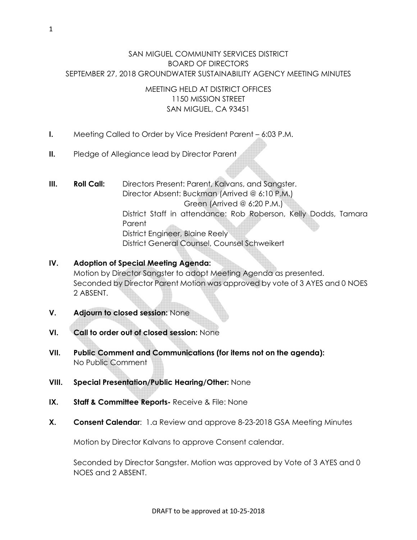## SAN MIGUEL COMMUNITY SERVICES DISTRICT BOARD OF DIRECTORS SEPTEMBER 27, 2018 GROUNDWATER SUSTAINABILITY AGENCY MEETING MINUTES

## MEETING HELD AT DISTRICT OFFICES 1150 MISSION STREET SAN MIGUEL, CA 93451

- I. Meeting Called to Order by Vice President Parent 6:03 P.M.
- **II.** Pledge of Allegiance lead by Director Parent
- **III.** Roll Call: Directors Present: Parent, Kalvans, and Sangster. Director Absent: Buckman (Arrived @ 6:10 P.M.) Green (Arrived @ 6:20 P.M.) District Staff in attendance: Rob Roberson, Kelly Dodds, Tamara Parent District Engineer, Blaine Reely District General Counsel, Counsel Schweikert

# IV. Adoption of Special Meeting Agenda: Motion by Director Sangster to adopt Meeting Agenda as presented. Seconded by Director Parent Motion was approved by vote of 3 AYES and 0 NOES 2 ABSENT.

- V. Adjourn to closed session: None
- VI. Call to order out of closed session: None
- VII. Public Comment and Communications (for items not on the agenda): No Public Comment
- VIII. Special Presentation/Public Hearing/Other: None
- IX. Staff & Committee Reports- Receive & File: None
- X. Consent Calendar: 1.a Review and approve 8-23-2018 GSA Meeting Minutes

Motion by Director Kalvans to approve Consent calendar.

Seconded by Director Sangster. Motion was approved by Vote of 3 AYES and 0 NOES and 2 ABSENT.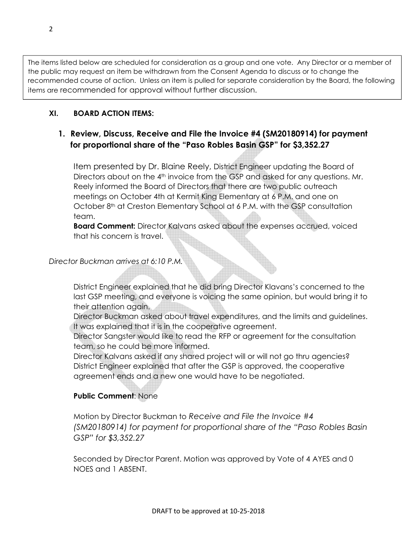The items listed below are scheduled for consideration as a group and one vote. Any Director or a member of the public may request an item be withdrawn from the Consent Agenda to discuss or to change the recommended course of action. Unless an item is pulled for separate consideration by the Board, the following items are recommended for approval without further discussion.

## XI. BOARD ACTION ITEMS:

# 1. Review, Discuss, Receive and File the Invoice #4 (SM20180914) for payment for proportional share of the "Paso Robles Basin GSP" for \$3,352.27

Item presented by Dr. Blaine Reely, District Engineer updating the Board of Directors about on the  $4<sup>th</sup>$  invoice from the GSP and asked for any questions. Mr. Reely informed the Board of Directors that there are two public outreach meetings on October 4th at Kermit King Elementary at 6 P.M. and one on October 8<sup>th</sup> at Creston Elementary School at 6 P.M. with the GSP consultation team.

Board Comment: Director Kalvans asked about the expenses accrued, voiced that his concern is travel.

#### Director Buckman arrives at 6:10 P.M.

District Engineer explained that he did bring Director Klavans's concerned to the last GSP meeting, and everyone is voicing the same opinion, but would bring it to their attention again.

Director Buckman asked about travel expenditures, and the limits and guidelines. It was explained that it is in the cooperative agreement.

Director Sangster would like to read the RFP or agreement for the consultation team, so he could be more informed.

Director Kalvans asked if any shared project will or will not go thru agencies? District Engineer explained that after the GSP is approved, the cooperative agreement ends and a new one would have to be negotiated.

### Public Comment: None

Motion by Director Buckman to Receive and File the Invoice #4 (SM20180914) for payment for proportional share of the "Paso Robles Basin GSP" for \$3,352.27

Seconded by Director Parent. Motion was approved by Vote of 4 AYES and 0 NOES and 1 ABSENT.